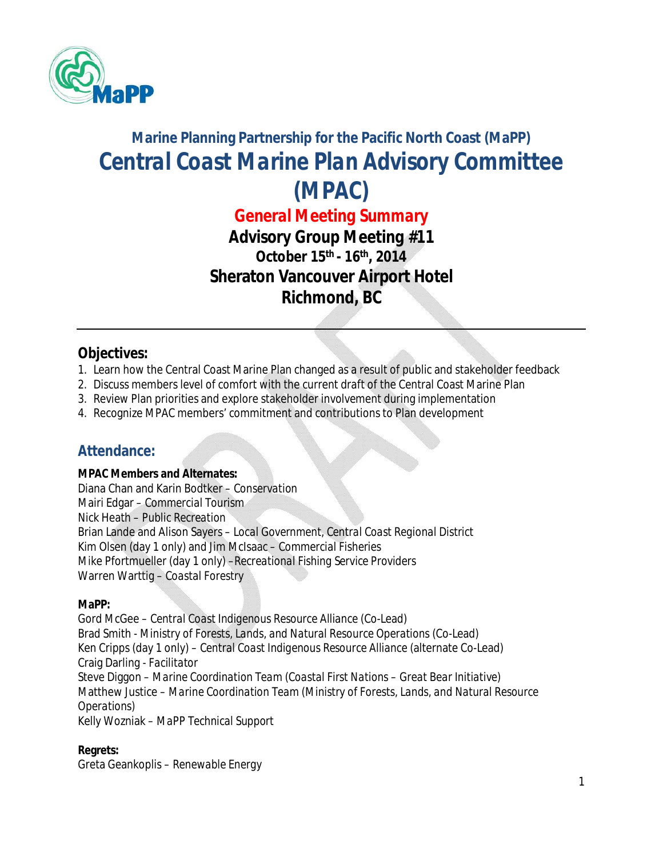

# **Marine Planning Partnership for the Pacific North Coast (MaPP)** *Central Coast Marine Plan Advisory Committee (MPAC)*

*General Meeting Summary*

*Advisory Group Meeting #11* **October 15th - 16th, 2014 Sheraton Vancouver Airport Hotel Richmond, BC**

#### **Objectives:**

- 1. Learn how the Central Coast Marine Plan changed as a result of public and stakeholder feedback
- 2. Discuss members level of comfort with the current draft of the Central Coast Marine Plan
- 3. Review Plan priorities and explore stakeholder involvement during implementation
- 4. Recognize MPAC members' commitment and contributions to Plan development

### **Attendance:**

#### **MPAC Members and Alternates:**

Diana Chan and Karin Bodtker – *Conservation* Mairi Edgar *– Commercial Tourism* Nick Heath – *Public Recreation* Brian Lande and Alison Sayers – *Local Government, Central Coast Regional District* Kim Olsen (day 1 only) and Jim McIsaac *– Commercial Fisheries* Mike Pfortmueller (day 1 only) –*Recreational Fishing Service Providers* Warren Warttig – *Coastal Forestry*

#### **MaPP:**

Gord McGee – *Central Coast Indigenous Resource Alliance* (Co-Lead) Brad Smith - *Ministry of Forests, Lands, and Natural Resource Operations* (Co-Lead) Ken Cripps (day 1 only) – *Central Coast Indigenous Resource Alliance* (alternate Co-Lead) Craig Darling *- Facilitator* Steve Diggon *– Marine Coordination Team (Coastal First Nations – Great Bear Initiative)* Matthew Justice – *Marine Coordination Team (Ministry of Forests, Lands, and Natural Resource Operations)* Kelly Wozniak – *MaPP Technical Support*

**Regrets:**

Greta Geankoplis *– Renewable Energy*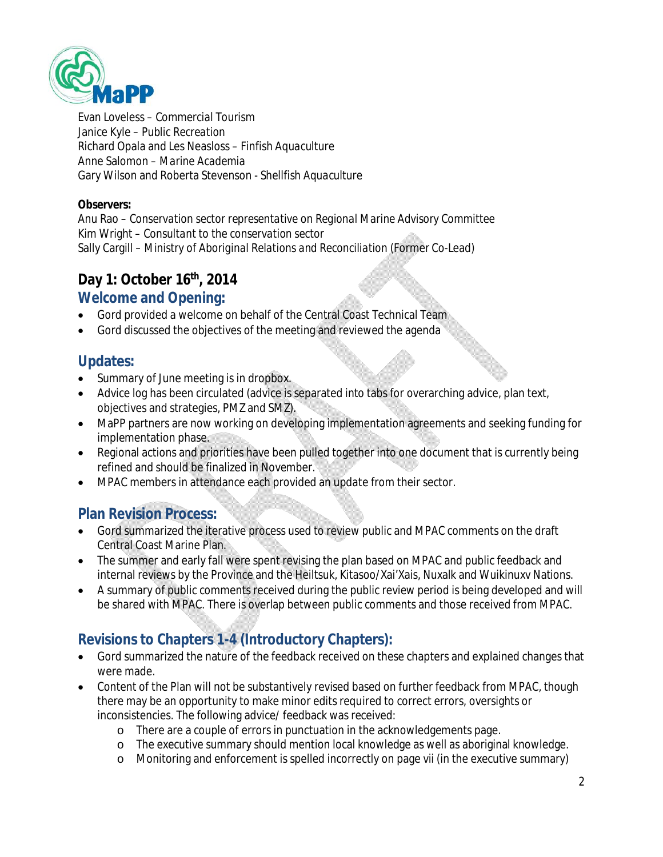

Evan Loveless *– Commercial Tourism* Janice Kyle – *Public Recreation* Richard Opala and Les Neasloss – *Finfish Aquaculture* Anne Salomon *– Marine Academia* Gary Wilson and Roberta Stevenson *- Shellfish Aquaculture*

#### **Observers:**

Anu Rao – *Conservation sector representative on Regional Marine Advisory Committee* Kim Wright *– Consultant to the conservation sector* Sally Cargill – *Ministry of Aboriginal Relations and Reconciliation* (Former Co-Lead)

### **Day 1: October 16th, 2014**

#### **Welcome and Opening:**

- Gord provided a welcome on behalf of the Central Coast Technical Team
- Gord discussed the objectives of the meeting and reviewed the agenda

### **Updates:**

- Summary of June meeting is in dropbox.
- Advice log has been circulated (advice is separated into tabs for overarching advice, plan text, objectives and strategies, PMZ and SMZ).
- MaPP partners are now working on developing implementation agreements and seeking funding for implementation phase.
- Regional actions and priorities have been pulled together into one document that is currently being refined and should be finalized in November.
- MPAC members in attendance each provided an update from their sector.

### **Plan Revision Process:**

- Gord summarized the iterative process used to review public and MPAC comments on the draft Central Coast Marine Plan.
- The summer and early fall were spent revising the plan based on MPAC and public feedback and internal reviews by the Province and the Heiltsuk, Kitasoo/Xai'Xais, Nuxalk and Wuikinuxv Nations.
- A summary of public comments received during the public review period is being developed and will be shared with MPAC. There is overlap between public comments and those received from MPAC.

# **Revisions to Chapters 1-4 (Introductory Chapters):**

- Gord summarized the nature of the feedback received on these chapters and explained changes that were made.
- Content of the Plan will not be substantively revised based on further feedback from MPAC, though there may be an opportunity to make minor edits required to correct errors, oversights or inconsistencies. The following advice/ feedback was received:
	- o There are a couple of errors in punctuation in the acknowledgements page.
	- o The executive summary should mention local knowledge as well as aboriginal knowledge.
	- o Monitoring and enforcement is spelled incorrectly on page vii (in the executive summary)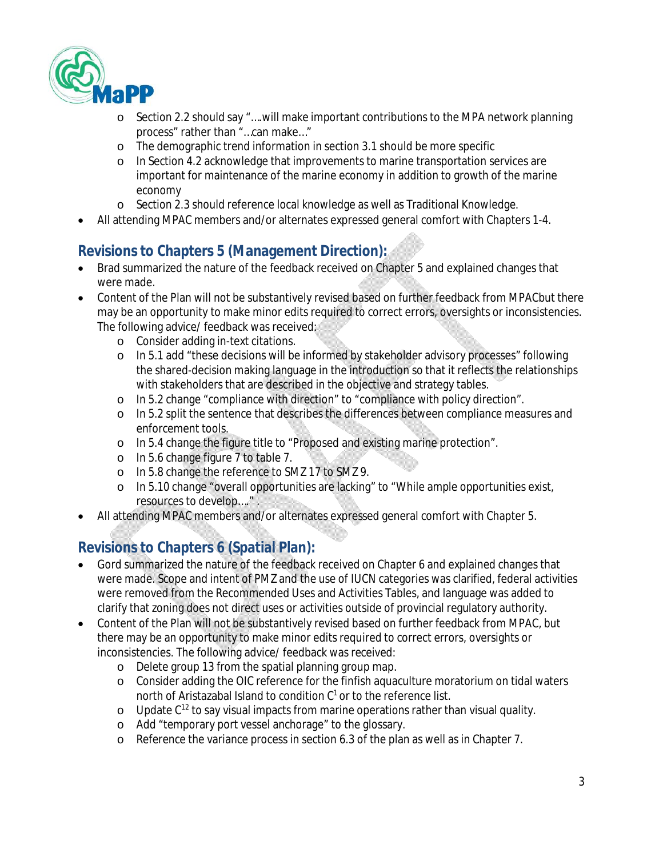

- o Section 2.2 should say "….will make important contributions to the MPA network planning process" rather than "…can make…"
- o The demographic trend information in section 3.1 should be more specific
- o In Section 4.2 acknowledge that improvements to marine transportation services are important for maintenance of the marine economy in addition to growth of the marine economy
- o Section 2.3 should reference local knowledge as well as Traditional Knowledge.
- All attending MPAC members and/or alternates expressed general comfort with Chapters 1-4.

### **Revisions to Chapters 5 (Management Direction):**

- Brad summarized the nature of the feedback received on Chapter 5 and explained changes that were made.
- Content of the Plan will not be substantively revised based on further feedback from MPACbut there may be an opportunity to make minor edits required to correct errors, oversights or inconsistencies. The following advice/ feedback was received:
	- o Consider adding in-text citations.
	- o In 5.1 add "these decisions will be informed by stakeholder advisory processes" following the shared-decision making language in the introduction so that it reflects the relationships with stakeholders that are described in the objective and strategy tables.
	- o In 5.2 change "compliance with direction" to "compliance with policy direction".
	- o In 5.2 split the sentence that describes the differences between compliance measures and enforcement tools.
	- o In 5.4 change the figure title to "Proposed and existing marine protection".
	- o In 5.6 change figure 7 to table 7.
	- o In 5.8 change the reference to SMZ 17 to SMZ 9.
	- o In 5.10 change "overall opportunities are lacking" to "While ample opportunities exist, resources to develop…." .
- All attending MPAC members and/or alternates expressed general comfort with Chapter 5.

### **Revisions to Chapters 6 (Spatial Plan):**

- Gord summarized the nature of the feedback received on Chapter 6 and explained changes that were made. Scope and intent of PMZ and the use of IUCN categories was clarified, federal activities were removed from the Recommended Uses and Activities Tables, and language was added to clarify that zoning does not direct uses or activities outside of provincial regulatory authority.
- Content of the Plan will not be substantively revised based on further feedback from MPAC, but there may be an opportunity to make minor edits required to correct errors, oversights or inconsistencies. The following advice/ feedback was received:
	- o Delete group 13 from the spatial planning group map.
	- o Consider adding the OIC reference for the finfish aquaculture moratorium on tidal waters north of Aristazabal Island to condition  $C^1$  or to the reference list.
	- $\circ$  Update C<sup>12</sup> to say visual impacts from marine operations rather than visual quality.
	- o Add "temporary port vessel anchorage" to the glossary.
	- o Reference the variance process in section 6.3 of the plan as well as in Chapter 7.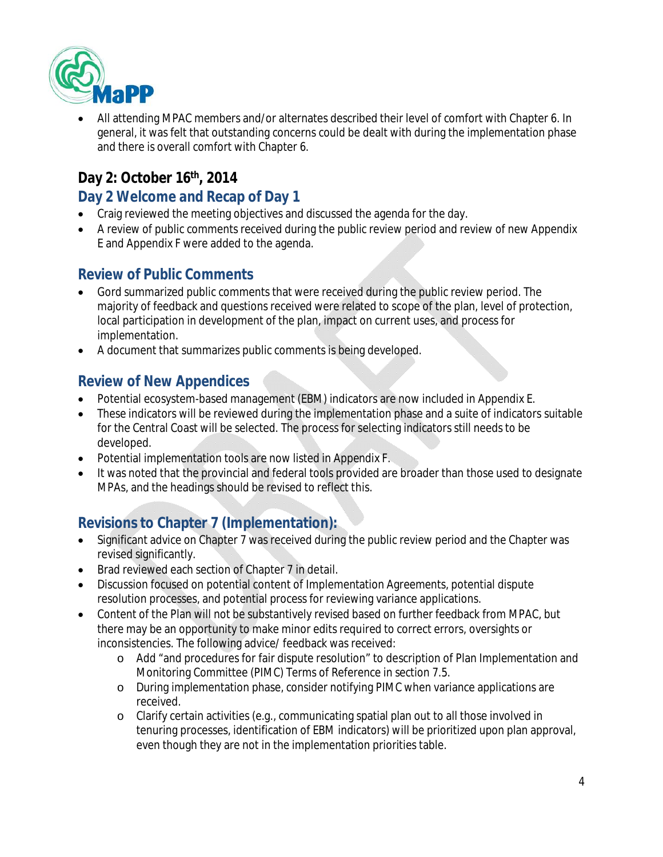

 All attending MPAC members and/or alternates described their level of comfort with Chapter 6. In general, it was felt that outstanding concerns could be dealt with during the implementation phase and there is overall comfort with Chapter 6.

# **Day 2: October 16th, 2014**

### **Day 2 Welcome and Recap of Day 1**

- Craig reviewed the meeting objectives and discussed the agenda for the day.
- A review of public comments received during the public review period and review of new Appendix E and Appendix F were added to the agenda.

### **Review of Public Comments**

- Gord summarized public comments that were received during the public review period. The majority of feedback and questions received were related to scope of the plan, level of protection, local participation in development of the plan, impact on current uses, and process for implementation.
- A document that summarizes public comments is being developed.

## **Review of New Appendices**

- Potential ecosystem-based management (EBM) indicators are now included in Appendix E.
- These indicators will be reviewed during the implementation phase and a suite of indicators suitable for the Central Coast will be selected. The process for selecting indicators still needs to be developed.
- Potential implementation tools are now listed in Appendix F.
- It was noted that the provincial and federal tools provided are broader than those used to designate MPAs, and the headings should be revised to reflect this.

# **Revisions to Chapter 7 (Implementation):**

- Significant advice on Chapter 7 was received during the public review period and the Chapter was revised significantly.
- Brad reviewed each section of Chapter 7 in detail.
- Discussion focused on potential content of Implementation Agreements, potential dispute resolution processes, and potential process for reviewing variance applications.
- Content of the Plan will not be substantively revised based on further feedback from MPAC, but there may be an opportunity to make minor edits required to correct errors, oversights or inconsistencies. The following advice/ feedback was received:
	- o Add "and procedures for fair dispute resolution" to description of Plan Implementation and Monitoring Committee (PIMC) Terms of Reference in section 7.5.
	- o During implementation phase, consider notifying PIMC when variance applications are received.
	- o Clarify certain activities (e.g., communicating spatial plan out to all those involved in tenuring processes, identification of EBM indicators) will be prioritized upon plan approval, even though they are not in the implementation priorities table.